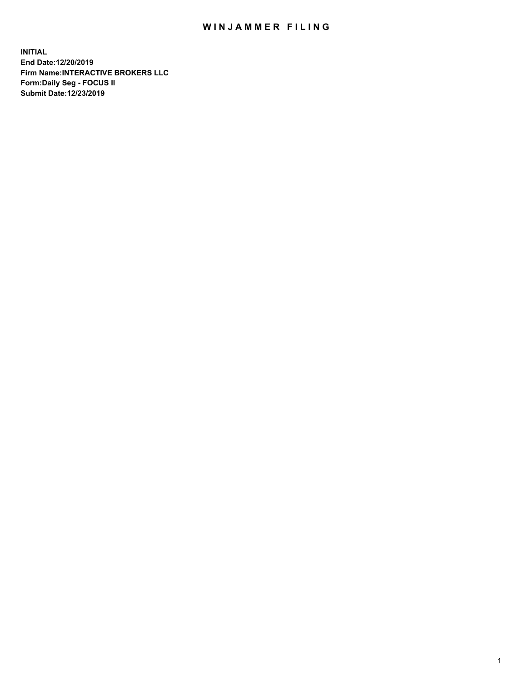## WIN JAMMER FILING

**INITIAL End Date:12/20/2019 Firm Name:INTERACTIVE BROKERS LLC Form:Daily Seg - FOCUS II Submit Date:12/23/2019**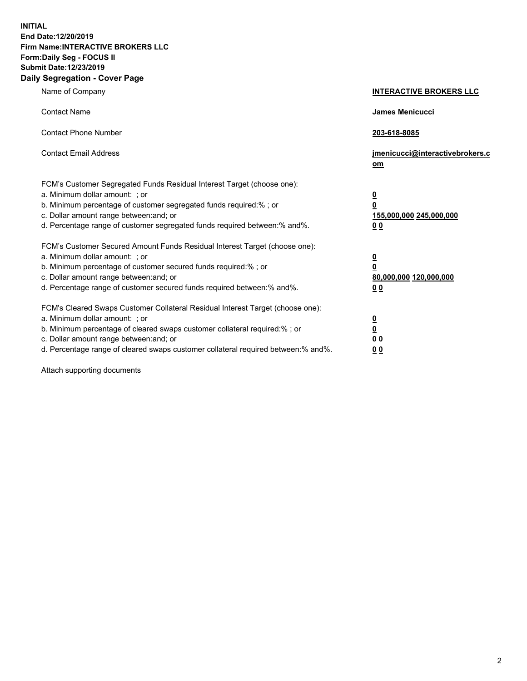**INITIAL End Date:12/20/2019 Firm Name:INTERACTIVE BROKERS LLC Form:Daily Seg - FOCUS II Submit Date:12/23/2019 Daily Segregation - Cover Page**

| Name of Company                                                                                                                                                                                                                                                                                                                | <b>INTERACTIVE BROKERS LLC</b>                                                                  |
|--------------------------------------------------------------------------------------------------------------------------------------------------------------------------------------------------------------------------------------------------------------------------------------------------------------------------------|-------------------------------------------------------------------------------------------------|
| <b>Contact Name</b>                                                                                                                                                                                                                                                                                                            | James Menicucci                                                                                 |
| <b>Contact Phone Number</b>                                                                                                                                                                                                                                                                                                    | 203-618-8085                                                                                    |
| <b>Contact Email Address</b>                                                                                                                                                                                                                                                                                                   | jmenicucci@interactivebrokers.c<br>om                                                           |
| FCM's Customer Segregated Funds Residual Interest Target (choose one):<br>a. Minimum dollar amount: ; or<br>b. Minimum percentage of customer segregated funds required:%; or<br>c. Dollar amount range between: and; or<br>d. Percentage range of customer segregated funds required between:% and%.                          | $\overline{\mathbf{0}}$<br>$\overline{\mathbf{0}}$<br>155,000,000 245,000,000<br>0 <sub>0</sub> |
| FCM's Customer Secured Amount Funds Residual Interest Target (choose one):<br>a. Minimum dollar amount: ; or<br>b. Minimum percentage of customer secured funds required:% ; or<br>c. Dollar amount range between: and; or<br>d. Percentage range of customer secured funds required between:% and%.                           | $\overline{\mathbf{0}}$<br>$\overline{\mathbf{0}}$<br>80,000,000 120,000,000<br>0 <sub>0</sub>  |
| FCM's Cleared Swaps Customer Collateral Residual Interest Target (choose one):<br>a. Minimum dollar amount: ; or<br>b. Minimum percentage of cleared swaps customer collateral required:% ; or<br>c. Dollar amount range between: and; or<br>d. Percentage range of cleared swaps customer collateral required between:% and%. | $\overline{\mathbf{0}}$<br>$\underline{\mathbf{0}}$<br>0 <sub>0</sub><br>0 <sub>0</sub>         |

Attach supporting documents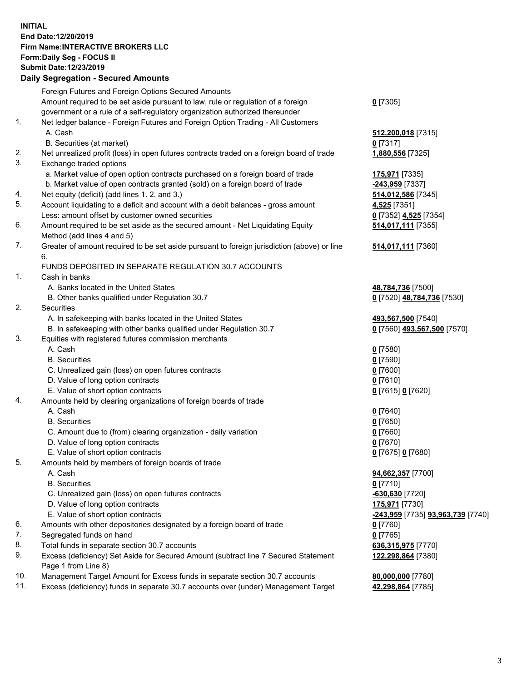## **INITIAL End Date:12/20/2019 Firm Name:INTERACTIVE BROKERS LLC Form:Daily Seg - FOCUS II Submit Date:12/23/2019 Daily Segregation - Secured Amounts**

|     | Dany Segregation - Secured Amounts                                                          |                                                 |
|-----|---------------------------------------------------------------------------------------------|-------------------------------------------------|
|     | Foreign Futures and Foreign Options Secured Amounts                                         |                                                 |
|     | Amount required to be set aside pursuant to law, rule or regulation of a foreign            | $0$ [7305]                                      |
|     | government or a rule of a self-regulatory organization authorized thereunder                |                                                 |
| 1.  | Net ledger balance - Foreign Futures and Foreign Option Trading - All Customers             |                                                 |
|     | A. Cash                                                                                     | 512,200,018 [7315]                              |
|     | B. Securities (at market)                                                                   | $0$ [7317]                                      |
| 2.  | Net unrealized profit (loss) in open futures contracts traded on a foreign board of trade   | 1,880,556 [7325]                                |
| 3.  | Exchange traded options                                                                     |                                                 |
|     | a. Market value of open option contracts purchased on a foreign board of trade              | 175,971 [7335]                                  |
|     | b. Market value of open contracts granted (sold) on a foreign board of trade                | -243,959 [7337]                                 |
| 4.  | Net equity (deficit) (add lines 1. 2. and 3.)                                               | 514,012,586 [7345]                              |
| 5.  | Account liquidating to a deficit and account with a debit balances - gross amount           | 4,525 [7351]                                    |
|     | Less: amount offset by customer owned securities                                            | 0 [7352] 4,525 [7354]                           |
| 6.  | Amount required to be set aside as the secured amount - Net Liquidating Equity              | 514,017,111 [7355]                              |
|     | Method (add lines 4 and 5)                                                                  |                                                 |
| 7.  | Greater of amount required to be set aside pursuant to foreign jurisdiction (above) or line | 514,017,111 [7360]                              |
|     | 6.                                                                                          |                                                 |
|     | FUNDS DEPOSITED IN SEPARATE REGULATION 30.7 ACCOUNTS                                        |                                                 |
| 1.  | Cash in banks                                                                               |                                                 |
|     | A. Banks located in the United States                                                       | 48,784,736 [7500]                               |
|     | B. Other banks qualified under Regulation 30.7                                              | 0 [7520] 48,784,736 [7530]                      |
| 2.  | Securities                                                                                  |                                                 |
|     | A. In safekeeping with banks located in the United States                                   | 493,567,500 [7540]                              |
|     | B. In safekeeping with other banks qualified under Regulation 30.7                          | 0 [7560] 493,567,500 [7570]                     |
| 3.  | Equities with registered futures commission merchants                                       |                                                 |
|     | A. Cash                                                                                     | $0$ [7580]                                      |
|     | <b>B.</b> Securities                                                                        | $0$ [7590]                                      |
|     | C. Unrealized gain (loss) on open futures contracts                                         | $0$ [7600]                                      |
|     | D. Value of long option contracts                                                           | $0$ [7610]                                      |
|     | E. Value of short option contracts                                                          | 0 [7615] 0 [7620]                               |
| 4.  | Amounts held by clearing organizations of foreign boards of trade                           |                                                 |
|     | A. Cash                                                                                     | $0$ [7640]                                      |
|     | <b>B.</b> Securities                                                                        | $0$ [7650]                                      |
|     | C. Amount due to (from) clearing organization - daily variation                             | $0$ [7660]                                      |
|     | D. Value of long option contracts                                                           | $0$ [7670]                                      |
|     | E. Value of short option contracts                                                          | 0 [7675] 0 [7680]                               |
| 5.  | Amounts held by members of foreign boards of trade                                          |                                                 |
|     | A. Cash                                                                                     | 94,662,357 [7700]                               |
|     | <b>B.</b> Securities                                                                        | $0$ [7710]                                      |
|     | C. Unrealized gain (loss) on open futures contracts                                         | $-630,630$ [7720]                               |
|     | D. Value of long option contracts                                                           | 175,971 [7730]                                  |
|     | E. Value of short option contracts                                                          | <u>-243,959</u> [7735] <u>93,963,739</u> [7740] |
| 6.  | Amounts with other depositories designated by a foreign board of trade                      | $0$ [7760]                                      |
| 7.  | Segregated funds on hand                                                                    | $0$ [7765]                                      |
| 8.  | Total funds in separate section 30.7 accounts                                               | 636,315,975 [7770]                              |
| 9.  | Excess (deficiency) Set Aside for Secured Amount (subtract line 7 Secured Statement         | 122,298,864 [7380]                              |
|     | Page 1 from Line 8)                                                                         |                                                 |
| 10. | Management Target Amount for Excess funds in separate section 30.7 accounts                 | 80,000,000 [7780]                               |
| 11. | Excess (deficiency) funds in separate 30.7 accounts over (under) Management Target          | 42,298,864 [7785]                               |
|     |                                                                                             |                                                 |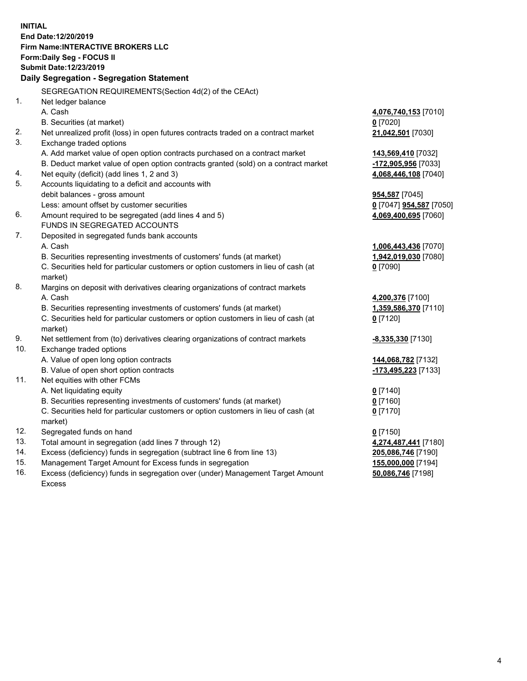**INITIAL End Date:12/20/2019 Firm Name:INTERACTIVE BROKERS LLC Form:Daily Seg - FOCUS II Submit Date:12/23/2019 Daily Segregation - Segregation Statement** SEGREGATION REQUIREMENTS(Section 4d(2) of the CEAct) 1. Net ledger balance A. Cash **4,076,740,153** [7010] B. Securities (at market) **0** [7020] 2. Net unrealized profit (loss) in open futures contracts traded on a contract market **21,042,501** [7030] 3. Exchange traded options A. Add market value of open option contracts purchased on a contract market **143,569,410** [7032] B. Deduct market value of open option contracts granted (sold) on a contract market **-172,905,956** [7033] 4. Net equity (deficit) (add lines 1, 2 and 3) **4,068,446,108** [7040] 5. Accounts liquidating to a deficit and accounts with debit balances - gross amount **954,587** [7045] Less: amount offset by customer securities **0** [7047] **954,587** [7050] 6. Amount required to be segregated (add lines 4 and 5) **4,069,400,695** [7060] FUNDS IN SEGREGATED ACCOUNTS 7. Deposited in segregated funds bank accounts A. Cash **1,006,443,436** [7070] B. Securities representing investments of customers' funds (at market) **1,942,019,030** [7080] C. Securities held for particular customers or option customers in lieu of cash (at market) **0** [7090] 8. Margins on deposit with derivatives clearing organizations of contract markets A. Cash **4,200,376** [7100] B. Securities representing investments of customers' funds (at market) **1,359,586,370** [7110] C. Securities held for particular customers or option customers in lieu of cash (at market) **0** [7120] 9. Net settlement from (to) derivatives clearing organizations of contract markets **-8,335,330** [7130] 10. Exchange traded options A. Value of open long option contracts **144,068,782** [7132] B. Value of open short option contracts **-173,495,223** [7133] 11. Net equities with other FCMs A. Net liquidating equity **0** [7140] B. Securities representing investments of customers' funds (at market) **0** [7160] C. Securities held for particular customers or option customers in lieu of cash (at market) **0** [7170] 12. Segregated funds on hand **0** [7150] 13. Total amount in segregation (add lines 7 through 12) **4,274,487,441** [7180] 14. Excess (deficiency) funds in segregation (subtract line 6 from line 13) **205,086,746** [7190] 15. Management Target Amount for Excess funds in segregation **155,000,000** [7194] **50,086,746** [7198]

16. Excess (deficiency) funds in segregation over (under) Management Target Amount Excess